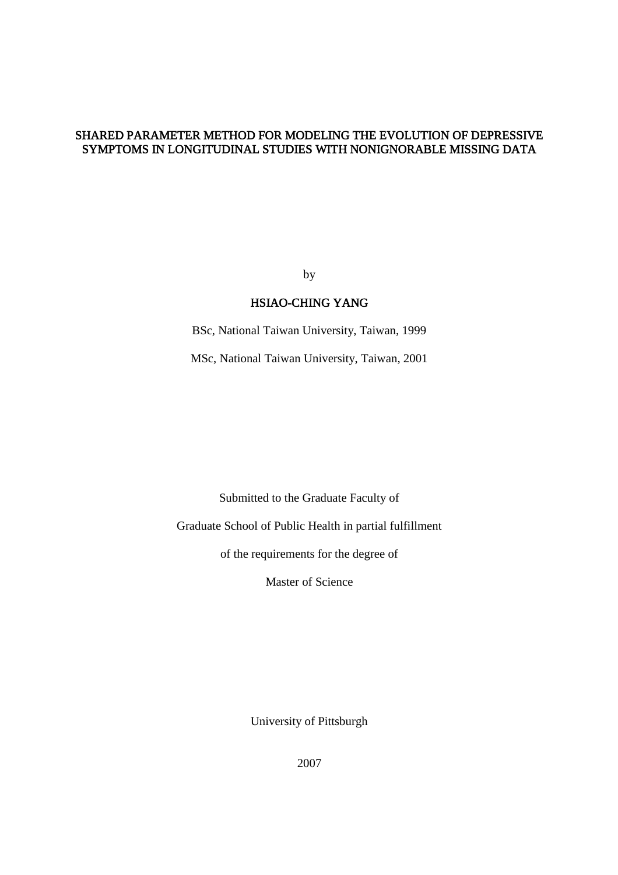### SHARED PARAMETER METHOD FOR MODELING THE EVOLUTION OF DEPRESSIVE SYMPTOMS IN LONGITUDINAL STUDIES WITH NONIGNORABLE MISSING DATA

by

### HSIAO-CHING YANG

BSc, National Taiwan University, Taiwan, 1999 MSc, National Taiwan University, Taiwan, 2001

Submitted to the Graduate Faculty of

Graduate School of Public Health in partial fulfillment

of the requirements for the degree of

Master of Science

University of Pittsburgh

2007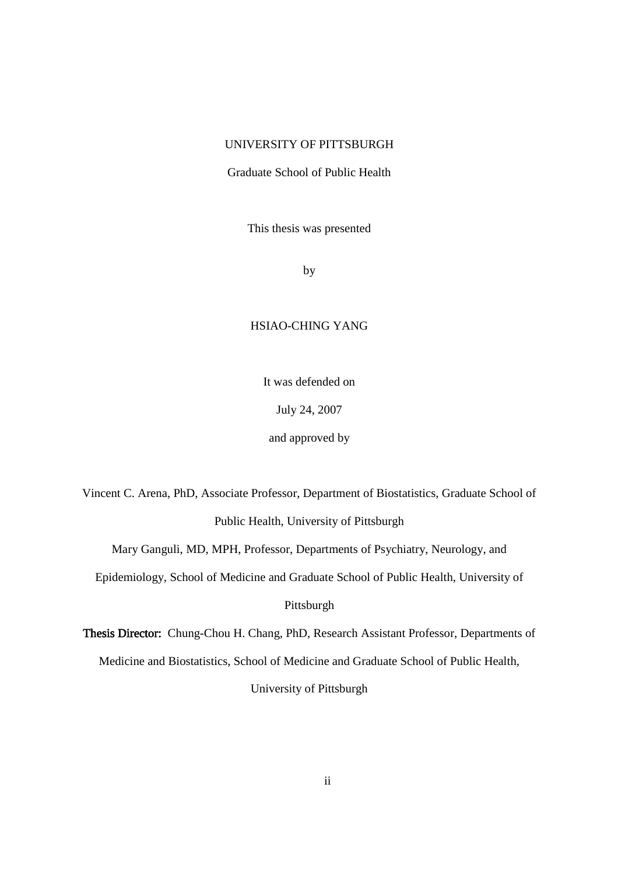### UNIVERSITY OF PITTSBURGH

Graduate School of Public Health

This thesis was presented

by

#### HSIAO-CHING YANG

It was defended on

July 24, 2007

and approved by

Vincent C. Arena, PhD, Associate Professor, Department of Biostatistics, Graduate School of Public Health, University of Pittsburgh

Mary Ganguli, MD, MPH, Professor, Departments of Psychiatry, Neurology, and

Epidemiology, School of Medicine and Graduate School of Public Health, University of

Pittsburgh

Thesis Director: Chung-Chou H. Chang, PhD, Research Assistant Professor, Departments of Medicine and Biostatistics, School of Medicine and Graduate School of Public Health, University of Pittsburgh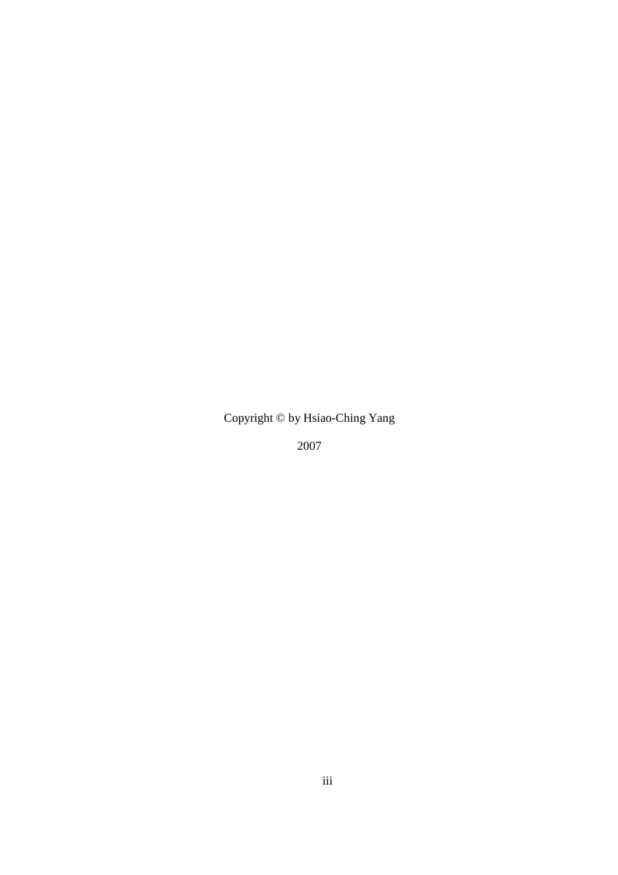Copyright © by Hsiao-Ching Yang

2007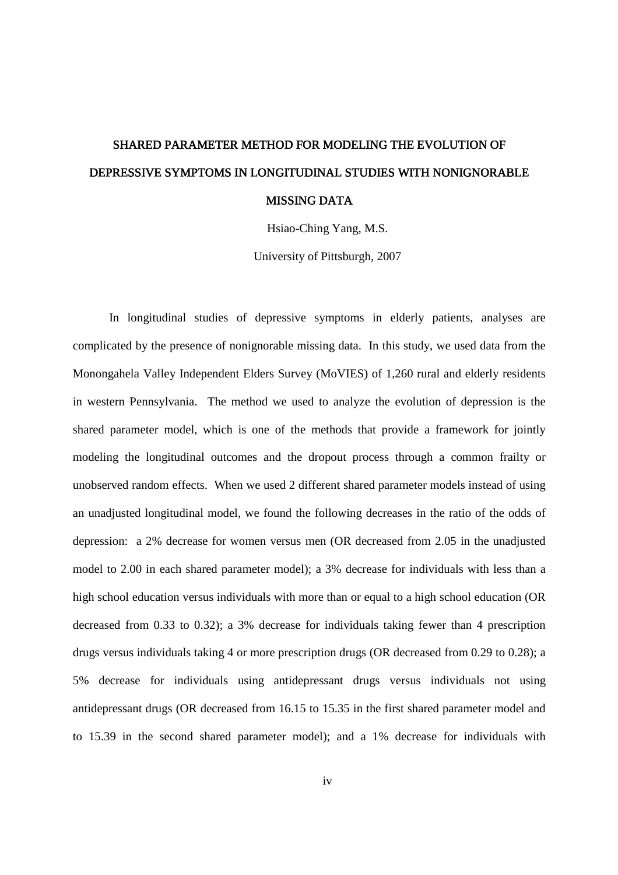# SHARED PARAMETER METHOD FOR MODELING THE EVOLUTION OF DEPRESSIVE SYMPTOMS IN LONGITUDINAL STUDIES WITH NONIGNORABLE MISSING DATA

Hsiao-Ching Yang, M.S.

University of Pittsburgh, 2007

In longitudinal studies of depressive symptoms in elderly patients, analyses are complicated by the presence of nonignorable missing data. In this study, we used data from the Monongahela Valley Independent Elders Survey (MoVIES) of 1,260 rural and elderly residents in western Pennsylvania. The method we used to analyze the evolution of depression is the shared parameter model, which is one of the methods that provide a framework for jointly modeling the longitudinal outcomes and the dropout process through a common frailty or unobserved random effects. When we used 2 different shared parameter models instead of using an unadjusted longitudinal model, we found the following decreases in the ratio of the odds of depression: a 2% decrease for women versus men (OR decreased from 2.05 in the unadjusted model to 2.00 in each shared parameter model); a 3% decrease for individuals with less than a high school education versus individuals with more than or equal to a high school education (OR decreased from 0.33 to 0.32); a 3% decrease for individuals taking fewer than 4 prescription drugs versus individuals taking 4 or more prescription drugs (OR decreased from 0.29 to 0.28); a 5% decrease for individuals using antidepressant drugs versus individuals not using antidepressant drugs (OR decreased from 16.15 to 15.35 in the first shared parameter model and to 15.39 in the second shared parameter model); and a 1% decrease for individuals with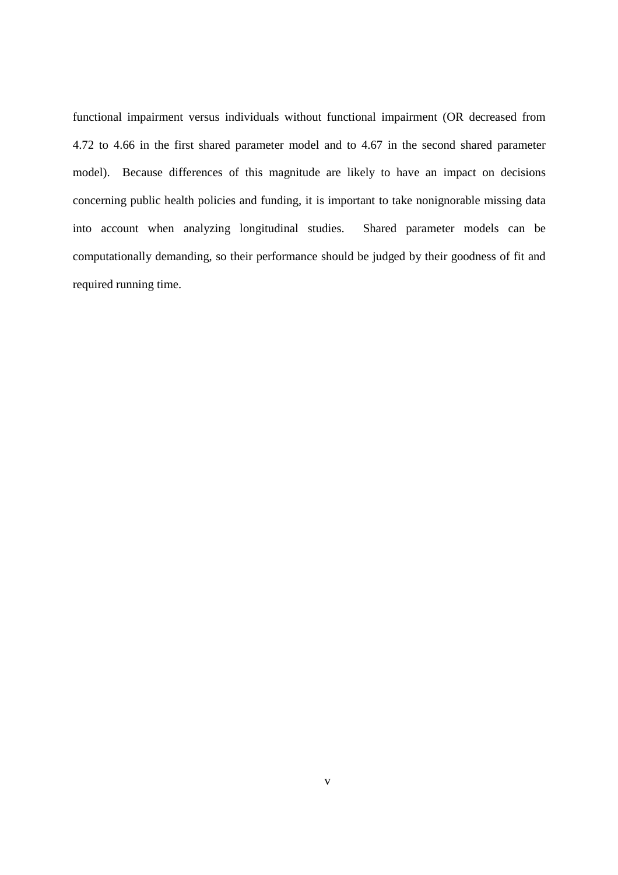functional impairment versus individuals without functional impairment (OR decreased from 4.72 to 4.66 in the first shared parameter model and to 4.67 in the second shared parameter model). Because differences of this magnitude are likely to have an impact on decisions concerning public health policies and funding, it is important to take nonignorable missing data into account when analyzing longitudinal studies. Shared parameter models can be computationally demanding, so their performance should be judged by their goodness of fit and required running time.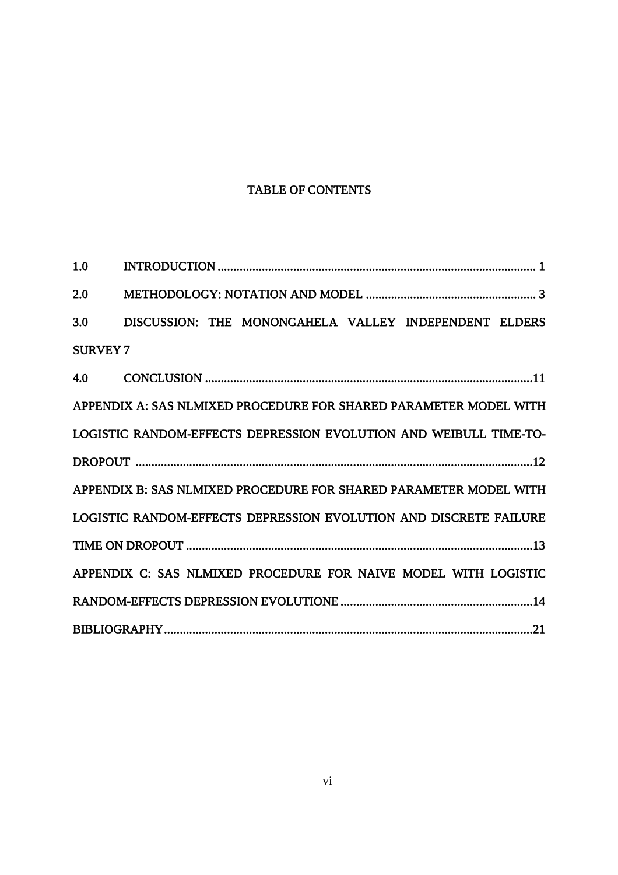## TABLE OF CONTENTS

| 1.0                                                               |                                                                   |  |  |  |  |  |  |
|-------------------------------------------------------------------|-------------------------------------------------------------------|--|--|--|--|--|--|
| 2.0                                                               |                                                                   |  |  |  |  |  |  |
| 3.0                                                               | DISCUSSION: THE MONONGAHELA VALLEY INDEPENDENT ELDERS             |  |  |  |  |  |  |
| <b>SURVEY 7</b>                                                   |                                                                   |  |  |  |  |  |  |
| 4.0                                                               |                                                                   |  |  |  |  |  |  |
|                                                                   | APPENDIX A: SAS NLMIXED PROCEDURE FOR SHARED PARAMETER MODEL WITH |  |  |  |  |  |  |
|                                                                   | LOGISTIC RANDOM-EFFECTS DEPRESSION EVOLUTION AND WEIBULL TIME-TO- |  |  |  |  |  |  |
|                                                                   |                                                                   |  |  |  |  |  |  |
|                                                                   | APPENDIX B: SAS NLMIXED PROCEDURE FOR SHARED PARAMETER MODEL WITH |  |  |  |  |  |  |
| LOGISTIC RANDOM-EFFECTS DEPRESSION EVOLUTION AND DISCRETE FAILURE |                                                                   |  |  |  |  |  |  |
|                                                                   |                                                                   |  |  |  |  |  |  |
|                                                                   | APPENDIX C: SAS NLMIXED PROCEDURE FOR NAIVE MODEL WITH LOGISTIC   |  |  |  |  |  |  |
|                                                                   |                                                                   |  |  |  |  |  |  |
|                                                                   |                                                                   |  |  |  |  |  |  |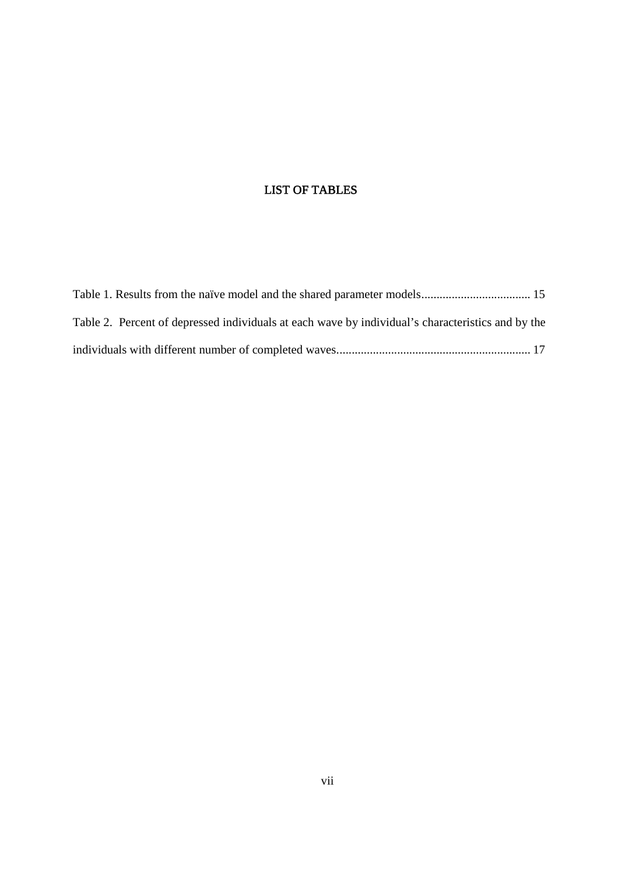## LIST OF TABLES

| Table 2. Percent of depressed individuals at each wave by individual's characteristics and by the |  |
|---------------------------------------------------------------------------------------------------|--|
|                                                                                                   |  |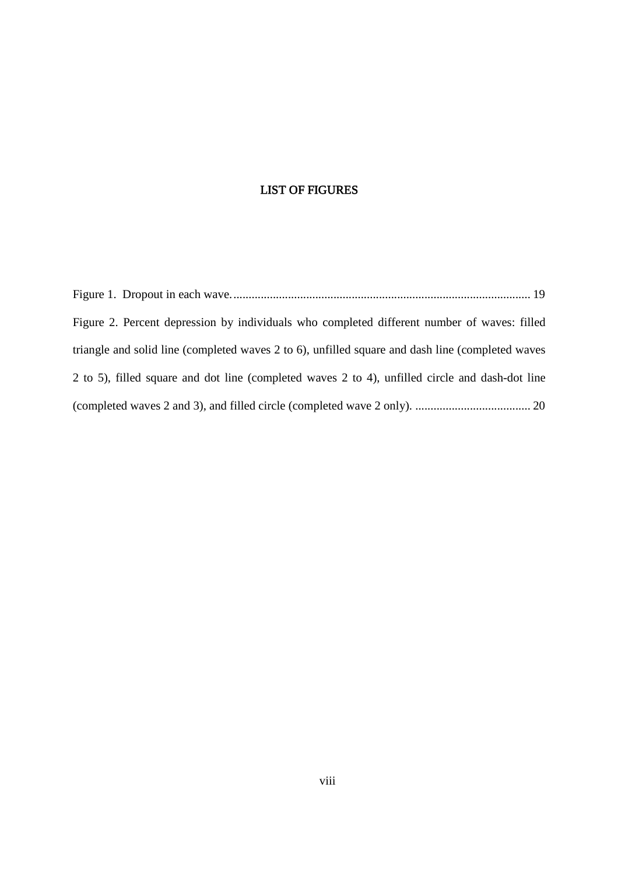## LIST OF FIGURES

| Figure 2. Percent depression by individuals who completed different number of waves: filled      |  |
|--------------------------------------------------------------------------------------------------|--|
| triangle and solid line (completed waves 2 to 6), unfilled square and dash line (completed waves |  |
| 2 to 5), filled square and dot line (completed waves 2 to 4), unfilled circle and dash-dot line  |  |
|                                                                                                  |  |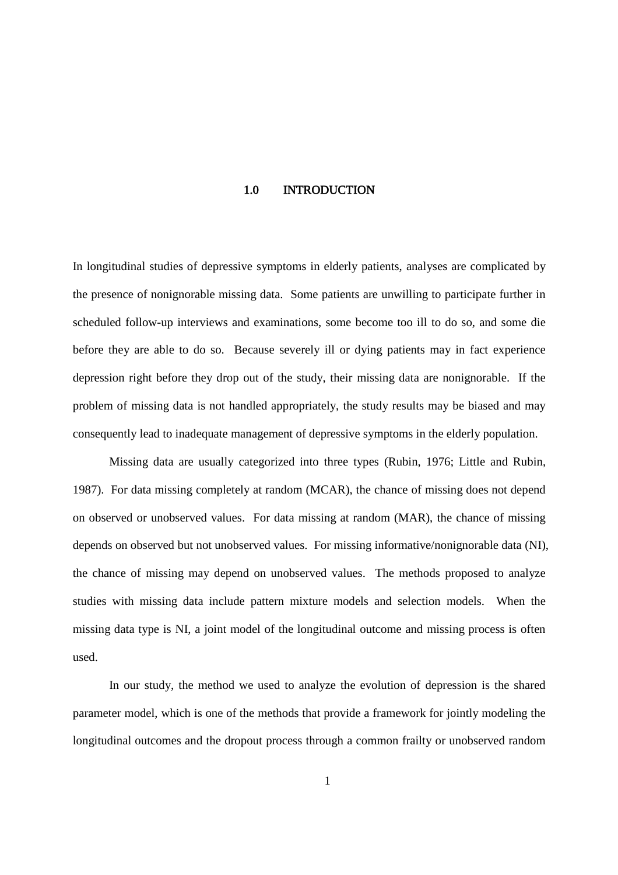#### 1.0 INTRODUCTION

In longitudinal studies of depressive symptoms in elderly patients, analyses are complicated by the presence of nonignorable missing data. Some patients are unwilling to participate further in scheduled follow-up interviews and examinations, some become too ill to do so, and some die before they are able to do so. Because severely ill or dying patients may in fact experience depression right before they drop out of the study, their missing data are nonignorable. If the problem of missing data is not handled appropriately, the study results may be biased and may consequently lead to inadequate management of depressive symptoms in the elderly population.

Missing data are usually categorized into three types (Rubin, 1976; Little and Rubin, 1987). For data missing completely at random (MCAR), the chance of missing does not depend on observed or unobserved values. For data missing at random (MAR), the chance of missing depends on observed but not unobserved values. For missing informative/nonignorable data (NI), the chance of missing may depend on unobserved values. The methods proposed to analyze studies with missing data include pattern mixture models and selection models. When the missing data type is NI, a joint model of the longitudinal outcome and missing process is often used.

In our study, the method we used to analyze the evolution of depression is the shared parameter model, which is one of the methods that provide a framework for jointly modeling the longitudinal outcomes and the dropout process through a common frailty or unobserved random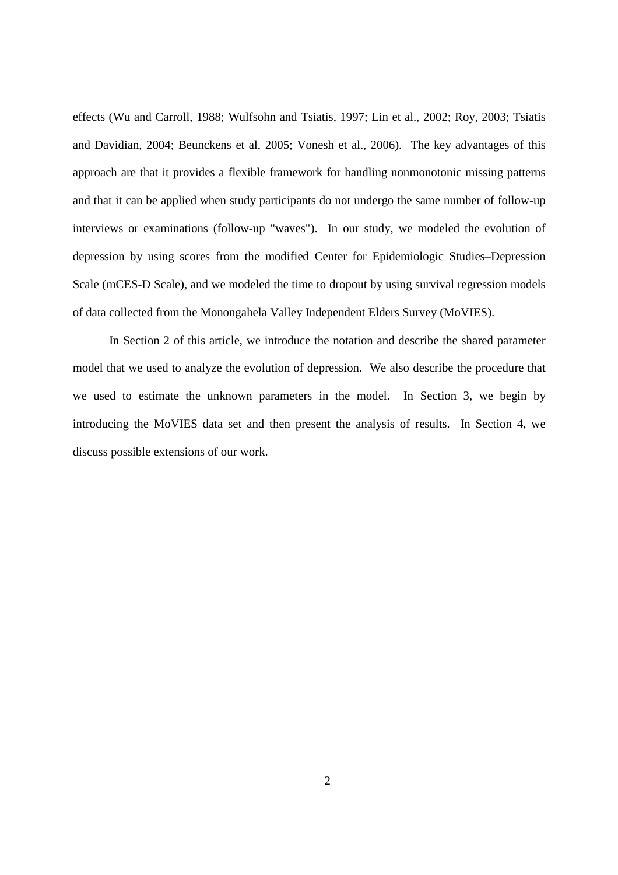effects (Wu and Carroll, 1988; Wulfsohn and Tsiatis, 1997; Lin et al., 2002; Roy, 2003; Tsiatis and Davidian, 2004; Beunckens et al, 2005; Vonesh et al., 2006). The key advantages of this approach are that it provides a flexible framework for handling nonmonotonic missing patterns and that it can be applied when study participants do not undergo the same number of follow-up interviews or examinations (follow-up "waves"). In our study, we modeled the evolution of depression by using scores from the modified Center for Epidemiologic Studies–Depression Scale (mCES-D Scale), and we modeled the time to dropout by using survival regression models of data collected from the Monongahela Valley Independent Elders Survey (MoVIES).

In Section 2 of this article, we introduce the notation and describe the shared parameter model that we used to analyze the evolution of depression. We also describe the procedure that we used to estimate the unknown parameters in the model. In Section 3, we begin by introducing the MoVIES data set and then present the analysis of results. In Section 4, we discuss possible extensions of our work.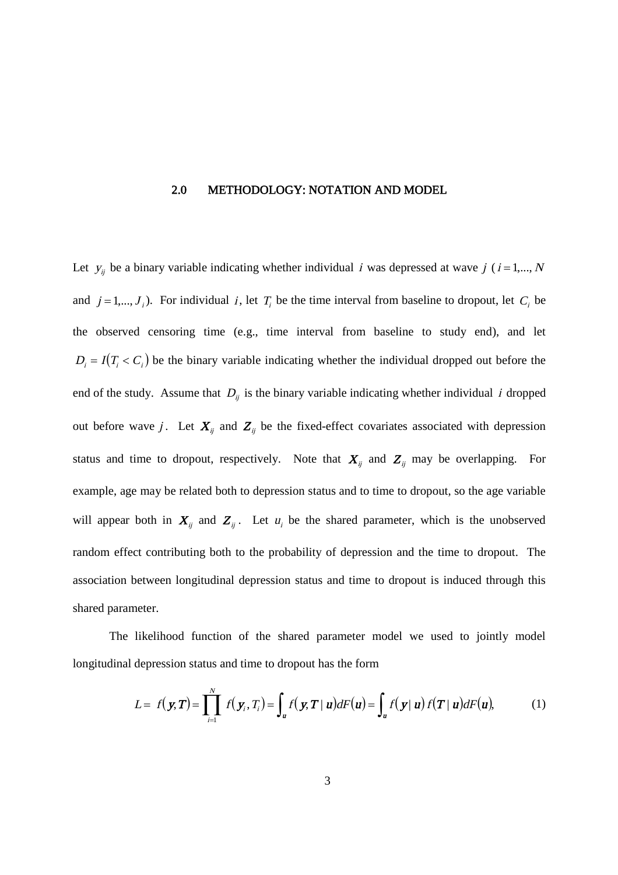#### 2.0 METHODOLOGY: NOTATION AND MODEL

Let  $y_{ij}$  be a binary variable indicating whether individual i was depressed at wave j ( $i = 1,...,N$ and  $j = 1, ..., J_i$ ). For individual i, let  $T_i$  be the time interval from baseline to dropout, let  $C_i$  be the observed censoring time (e.g., time interval from baseline to study end), and let  $D_i = I(T_i < C_i)$  be the binary variable indicating whether the individual dropped out before the end of the study. Assume that  $D_{ij}$  is the binary variable indicating whether individual *i* dropped out before wave j. Let  $X_{ij}$  and  $Z_{ij}$  be the fixed-effect covariates associated with depression status and time to dropout, respectively. Note that  $X_{ij}$  and  $Z_{ij}$  may be overlapping. For example, age may be related both to depression status and to time to dropout, so the age variable will appear both in  $X_{ij}$  and  $Z_{ij}$ . Let  $u_i$  be the shared parameter, which is the unobserved random effect contributing both to the probability of depression and the time to dropout. The association between longitudinal depression status and time to dropout is induced through this shared parameter.

The likelihood function of the shared parameter model we used to jointly model longitudinal depression status and time to dropout has the form

$$
L = f(\mathbf{y}, \mathbf{T}) = \prod_{i=1}^{N} f(\mathbf{y}_i, T_i) = \int_{\mathbf{u}} f(\mathbf{y}, \mathbf{T} \mid \mathbf{u}) dF(\mathbf{u}) = \int_{\mathbf{u}} f(\mathbf{y} \mid \mathbf{u}) f(\mathbf{T} \mid \mathbf{u}) dF(\mathbf{u}), \tag{1}
$$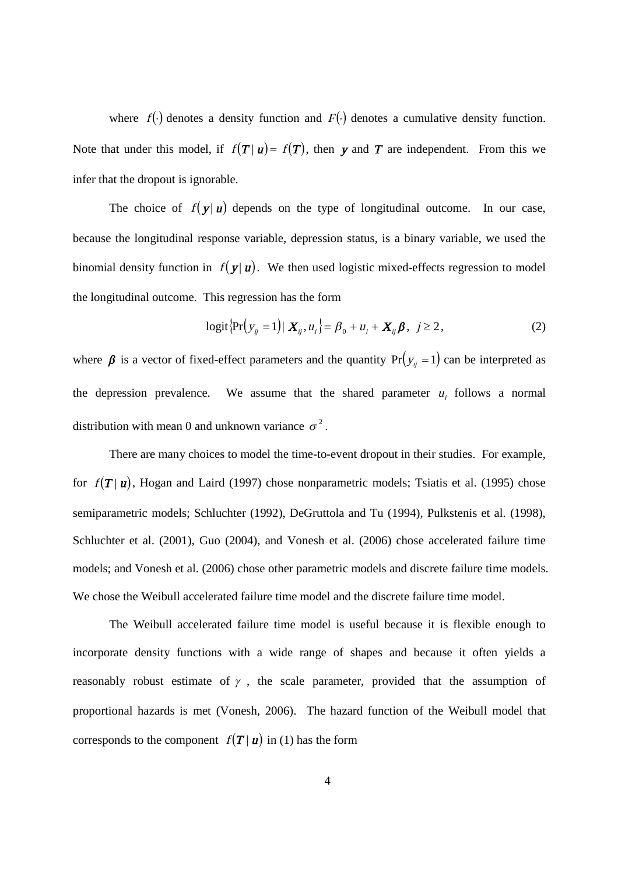where  $f(\cdot)$  denotes a density function and  $F(\cdot)$  denotes a cumulative density function. Note that under this model, if  $f(T | u) = f(T)$ , then y and T are independent. From this we infer that the dropout is ignorable.

The choice of  $f(\mathbf{y} | \mathbf{u})$  depends on the type of longitudinal outcome. In our case, because the longitudinal response variable, depression status, is a binary variable, we used the binomial density function in  $f(\mathbf{y} | \mathbf{u})$ . We then used logistic mixed-effects regression to model the longitudinal outcome. This regression has the form

$$
logit{Pr(y_{ij} = 1) | X_{ij}, u_i} = \beta_0 + u_i + X_{ij} \beta, \ j \ge 2,
$$
\n(2)

where  $\beta$  is a vector of fixed-effect parameters and the quantity  $Pr(y_{ij} = 1)$  can be interpreted as the depression prevalence. We assume that the shared parameter  $u_i$  follows a normal distribution with mean 0 and unknown variance  $\sigma^2$ .

There are many choices to model the time-to-event dropout in their studies. For example, for  $f(T | u)$ , Hogan and Laird (1997) chose nonparametric models; Tsiatis et al. (1995) chose semiparametric models; Schluchter (1992), DeGruttola and Tu (1994), Pulkstenis et al. (1998), Schluchter et al. (2001), Guo (2004), and Vonesh et al. (2006) chose accelerated failure time models; and Vonesh et al. (2006) chose other parametric models and discrete failure time models. We chose the Weibull accelerated failure time model and the discrete failure time model.

The Weibull accelerated failure time model is useful because it is flexible enough to incorporate density functions with a wide range of shapes and because it often yields a reasonably robust estimate of  $\gamma$ , the scale parameter, provided that the assumption of proportional hazards is met (Vonesh, 2006). The hazard function of the Weibull model that corresponds to the component  $f(T | u)$  in (1) has the form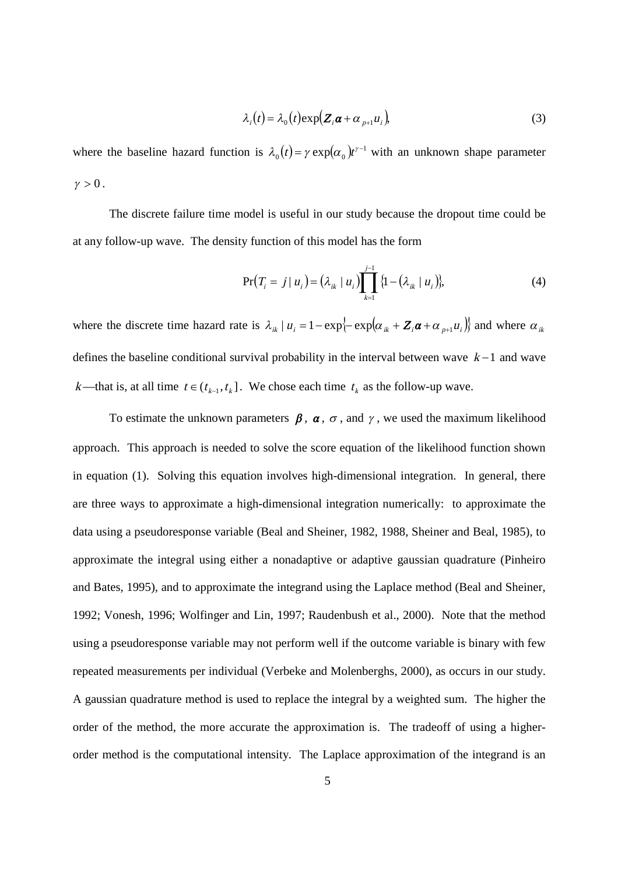$$
\lambda_i(t) = \lambda_0(t) \exp(Z_i \boldsymbol{\alpha} + \alpha_{p+1} u_i), \tag{3}
$$

where the baseline hazard function is  $\lambda_0(t) = \gamma \exp(\alpha_0)t^{\gamma-1}$  $\lambda_0(t) = \gamma \exp(\alpha_0) t^{\gamma - 1}$  with an unknown shape parameter  $\gamma > 0$ .

The discrete failure time model is useful in our study because the dropout time could be at any follow-up wave. The density function of this model has the form

$$
\Pr(T_i = j | u_i) = (\lambda_{ik} | u_i) \prod_{k=1}^{j-1} \{1 - (\lambda_{ik} | u_i) \},\tag{4}
$$

where the discrete time hazard rate is  $\lambda_{ik} | u_i = 1 - \exp\{-\exp(\alpha_{ik} + Z_i \alpha + \alpha_{i} u_i)\}\)$  and where  $\alpha_{ik}$ defines the baseline conditional survival probability in the interval between wave  $k-1$  and wave *k*—that is, at all time  $t \in (t_{k-1}, t_k]$ . We chose each time  $t_k$  as the follow-up wave.

To estimate the unknown parameters  $\beta$ ,  $\alpha$ ,  $\sigma$ , and  $\gamma$ , we used the maximum likelihood approach. This approach is needed to solve the score equation of the likelihood function shown in equation (1). Solving this equation involves high-dimensional integration. In general, there are three ways to approximate a high-dimensional integration numerically: to approximate the data using a pseudoresponse variable (Beal and Sheiner, 1982, 1988, Sheiner and Beal, 1985), to approximate the integral using either a nonadaptive or adaptive gaussian quadrature (Pinheiro and Bates, 1995), and to approximate the integrand using the Laplace method (Beal and Sheiner, 1992; Vonesh, 1996; Wolfinger and Lin, 1997; Raudenbush et al., 2000). Note that the method using a pseudoresponse variable may not perform well if the outcome variable is binary with few repeated measurements per individual (Verbeke and Molenberghs, 2000), as occurs in our study. A gaussian quadrature method is used to replace the integral by a weighted sum. The higher the order of the method, the more accurate the approximation is. The tradeoff of using a higherorder method is the computational intensity. The Laplace approximation of the integrand is an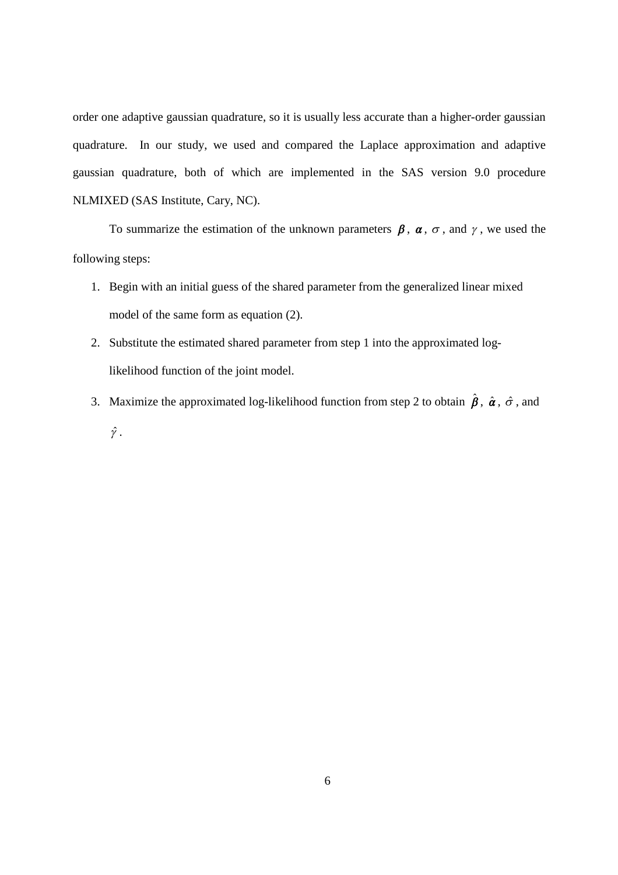order one adaptive gaussian quadrature, so it is usually less accurate than a higher-order gaussian quadrature. In our study, we used and compared the Laplace approximation and adaptive gaussian quadrature, both of which are implemented in the SAS version 9.0 procedure NLMIXED (SAS Institute, Cary, NC).

To summarize the estimation of the unknown parameters  $\beta$ ,  $\alpha$ ,  $\sigma$ , and  $\gamma$ , we used the following steps:

- 1. Begin with an initial guess of the shared parameter from the generalized linear mixed model of the same form as equation (2).
- 2. Substitute the estimated shared parameter from step 1 into the approximated loglikelihood function of the joint model.
- 3. Maximize the approximated log-likelihood function from step 2 to obtain  $\hat{\beta}$ ,  $\hat{\alpha}$ ,  $\hat{\sigma}$ , and  $\hat{\gamma}$ .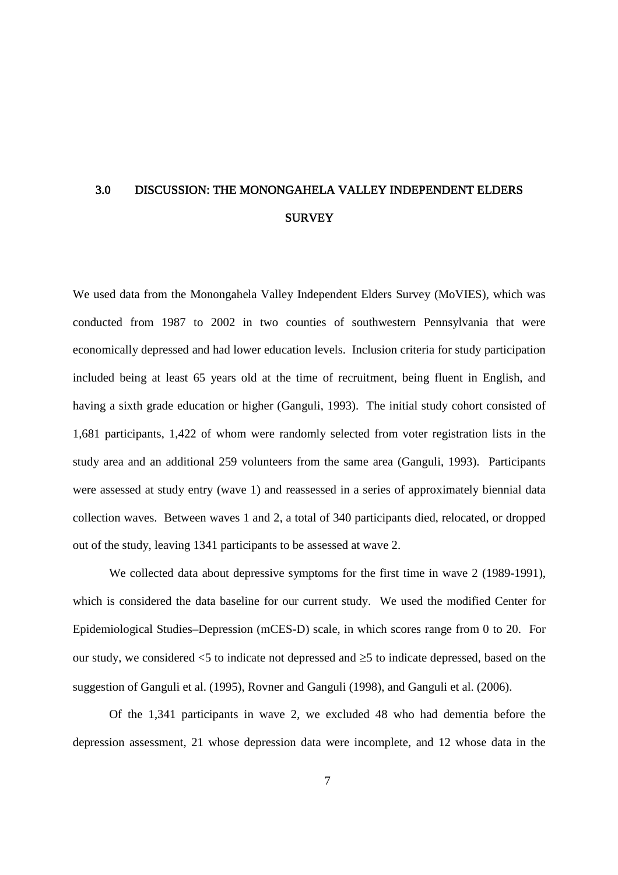## 3.0 DISCUSSION: THE MONONGAHELA VALLEY INDEPENDENT ELDERS **SURVEY**

We used data from the Monongahela Valley Independent Elders Survey (MoVIES), which was conducted from 1987 to 2002 in two counties of southwestern Pennsylvania that were economically depressed and had lower education levels. Inclusion criteria for study participation included being at least 65 years old at the time of recruitment, being fluent in English, and having a sixth grade education or higher (Ganguli, 1993). The initial study cohort consisted of 1,681 participants, 1,422 of whom were randomly selected from voter registration lists in the study area and an additional 259 volunteers from the same area (Ganguli, 1993). Participants were assessed at study entry (wave 1) and reassessed in a series of approximately biennial data collection waves. Between waves 1 and 2, a total of 340 participants died, relocated, or dropped out of the study, leaving 1341 participants to be assessed at wave 2.

We collected data about depressive symptoms for the first time in wave 2 (1989-1991), which is considered the data baseline for our current study. We used the modified Center for Epidemiological Studies–Depression (mCES-D) scale, in which scores range from 0 to 20. For our study, we considered  $\leq$  to indicate not depressed and  $\geq$  to indicate depressed, based on the suggestion of Ganguli et al. (1995), Rovner and Ganguli (1998), and Ganguli et al. (2006).

Of the 1,341 participants in wave 2, we excluded 48 who had dementia before the depression assessment, 21 whose depression data were incomplete, and 12 whose data in the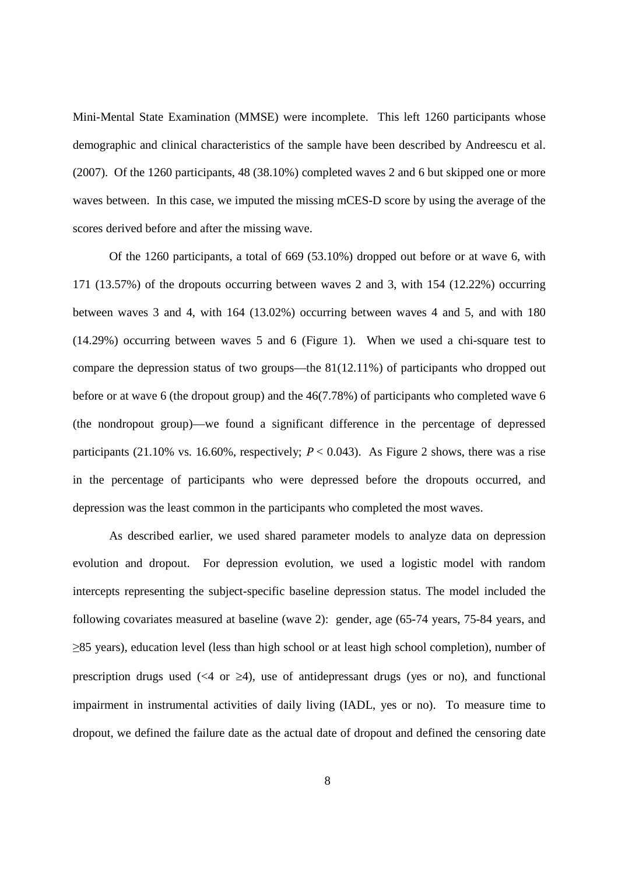Mini-Mental State Examination (MMSE) were incomplete. This left 1260 participants whose demographic and clinical characteristics of the sample have been described by Andreescu et al. (2007). Of the 1260 participants, 48 (38.10%) completed waves 2 and 6 but skipped one or more waves between. In this case, we imputed the missing mCES-D score by using the average of the scores derived before and after the missing wave.

Of the 1260 participants, a total of 669 (53.10%) dropped out before or at wave 6, with 171 (13.57%) of the dropouts occurring between waves 2 and 3, with 154 (12.22%) occurring between waves 3 and 4, with 164 (13.02%) occurring between waves 4 and 5, and with 180 (14.29%) occurring between waves 5 and 6 (Figure 1). When we used a chi-square test to compare the depression status of two groups— the 81(12.11%) of participants who dropped out before or at wave 6 (the dropout group) and the 46(7.78%) of participants who completed wave 6 (the nondropout group)— we found a significant difference in the percentage of depressed participants (21.10% vs. 16.60%, respectively;  $P < 0.043$ ). As Figure 2 shows, there was a rise in the percentage of participants who were depressed before the dropouts occurred, and depression was the least common in the participants who completed the most waves.

As described earlier, we used shared parameter models to analyze data on depression evolution and dropout. For depression evolution, we used a logistic model with random intercepts representing the subject-specific baseline depression status. The model included the following covariates measured at baseline (wave 2): gender, age (65-74 years, 75-84 years, and ≥85 years), education level (less than high school or at least high school completion), number of prescription drugs used (<4 or  $\geq$ 4), use of antidepressant drugs (yes or no), and functional impairment in instrumental activities of daily living (IADL, yes or no). To measure time to dropout, we defined the failure date as the actual date of dropout and defined the censoring date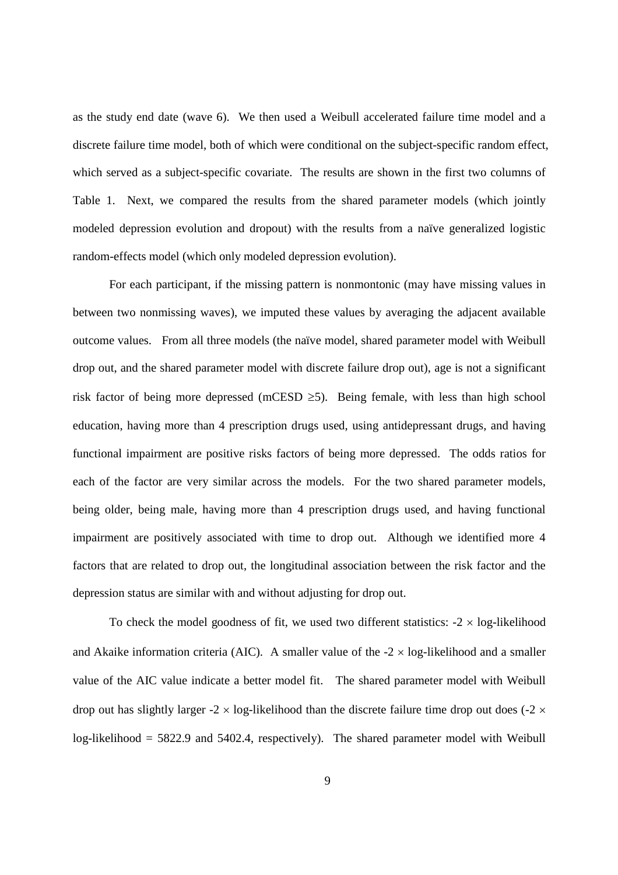as the study end date (wave 6). We then used a Weibull accelerated failure time model and a discrete failure time model, both of which were conditional on the subject-specific random effect, which served as a subject-specific covariate. The results are shown in the first two columns of Table 1. Next, we compared the results from the shared parameter models (which jointly modeled depression evolution and dropout) with the results from a naïve generalized logistic random-effects model (which only modeled depression evolution).

For each participant, if the missing pattern is nonmontonic (may have missing values in between two nonmissing waves), we imputed these values by averaging the adjacent available outcome values. From all three models (the naïve model, shared parameter model with Weibull drop out, and the shared parameter model with discrete failure drop out), age is not a significant risk factor of being more depressed (mCESD  $\geq$ 5). Being female, with less than high school education, having more than 4 prescription drugs used, using antidepressant drugs, and having functional impairment are positive risks factors of being more depressed. The odds ratios for each of the factor are very similar across the models. For the two shared parameter models, being older, being male, having more than 4 prescription drugs used, and having functional impairment are positively associated with time to drop out. Although we identified more 4 factors that are related to drop out, the longitudinal association between the risk factor and the depression status are similar with and without adjusting for drop out.

To check the model goodness of fit, we used two different statistics:  $-2 \times \log$ -likelihood and Akaike information criteria (AIC). A smaller value of the  $-2 \times \log$ -likelihood and a smaller value of the AIC value indicate a better model fit. The shared parameter model with Weibull drop out has slightly larger -2  $\times$  log-likelihood than the discrete failure time drop out does (-2  $\times$ log-likelihood = 5822.9 and 5402.4, respectively). The shared parameter model with Weibull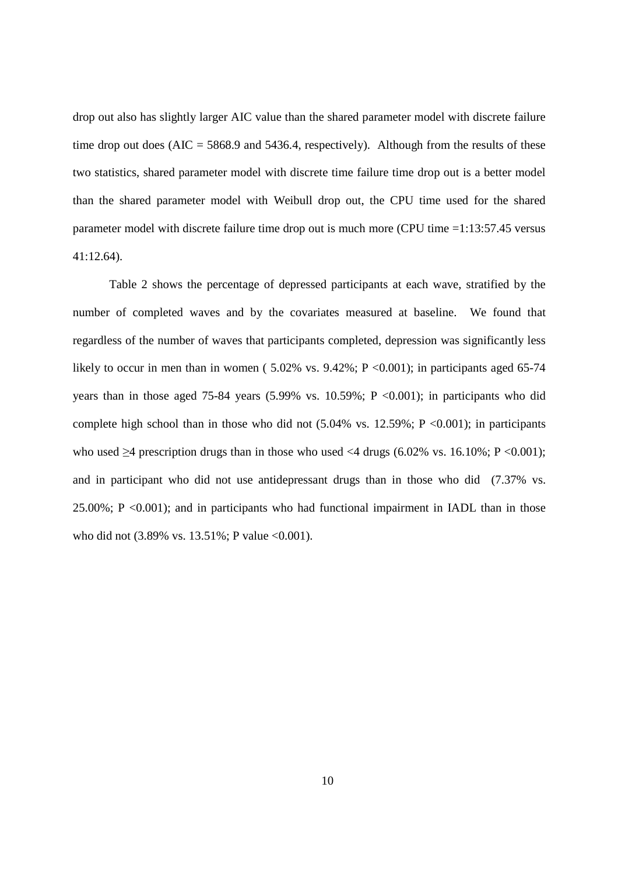drop out also has slightly larger AIC value than the shared parameter model with discrete failure time drop out does  $(AIC = 5868.9$  and  $5436.4$ , respectively). Although from the results of these two statistics, shared parameter model with discrete time failure time drop out is a better model than the shared parameter model with Weibull drop out, the CPU time used for the shared parameter model with discrete failure time drop out is much more (CPU time =1:13:57.45 versus 41:12.64).

Table 2 shows the percentage of depressed participants at each wave, stratified by the number of completed waves and by the covariates measured at baseline. We found that regardless of the number of waves that participants completed, depression was significantly less likely to occur in men than in women (5.02% vs. 9.42%;  $P \le 0.001$ ); in participants aged 65-74 years than in those aged 75-84 years  $(5.99\% \text{ vs. } 10.59\%; P < 0.001)$ ; in participants who did complete high school than in those who did not  $(5.04\% \text{ vs. } 12.59\%; P \le 0.001)$ ; in participants who used  $>4$  prescription drugs than in those who used  $<4$  drugs (6.02% vs. 16.10%; P  $< 0.001$ ); and in participant who did not use antidepressant drugs than in those who did (7.37% vs. 25.00%; P <0.001); and in participants who had functional impairment in IADL than in those who did not (3.89% vs. 13.51%; P value <0.001).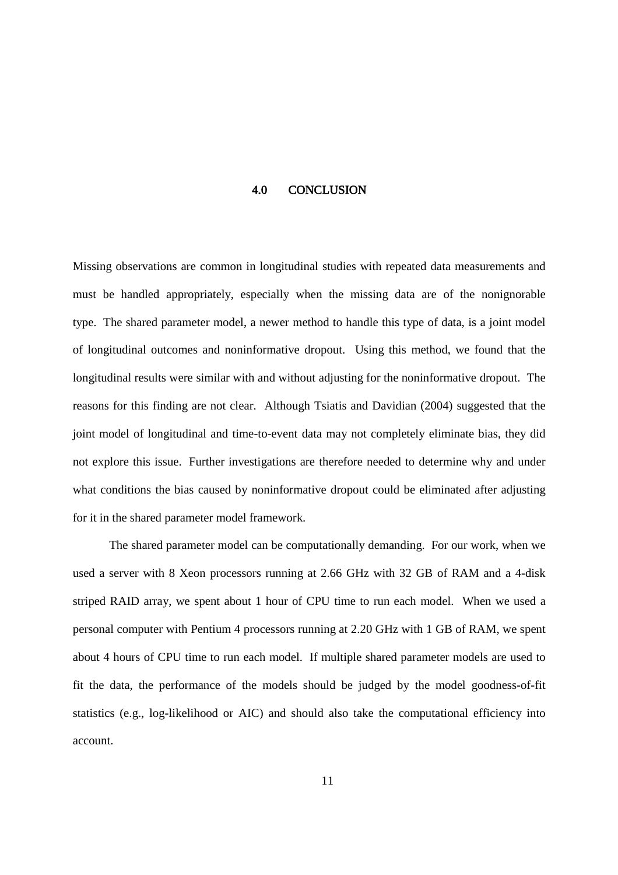#### 4.0 CONCLUSION

Missing observations are common in longitudinal studies with repeated data measurements and must be handled appropriately, especially when the missing data are of the nonignorable type. The shared parameter model, a newer method to handle this type of data, is a joint model of longitudinal outcomes and noninformative dropout. Using this method, we found that the longitudinal results were similar with and without adjusting for the noninformative dropout. The reasons for this finding are not clear. Although Tsiatis and Davidian (2004) suggested that the joint model of longitudinal and time-to-event data may not completely eliminate bias, they did not explore this issue. Further investigations are therefore needed to determine why and under what conditions the bias caused by noninformative dropout could be eliminated after adjusting for it in the shared parameter model framework.

The shared parameter model can be computationally demanding. For our work, when we used a server with 8 Xeon processors running at 2.66 GHz with 32 GB of RAM and a 4-disk striped RAID array, we spent about 1 hour of CPU time to run each model. When we used a personal computer with Pentium 4 processors running at 2.20 GHz with 1 GB of RAM, we spent about 4 hours of CPU time to run each model. If multiple shared parameter models are used to fit the data, the performance of the models should be judged by the model goodness-of-fit statistics (e.g., log-likelihood or AIC) and should also take the computational efficiency into account.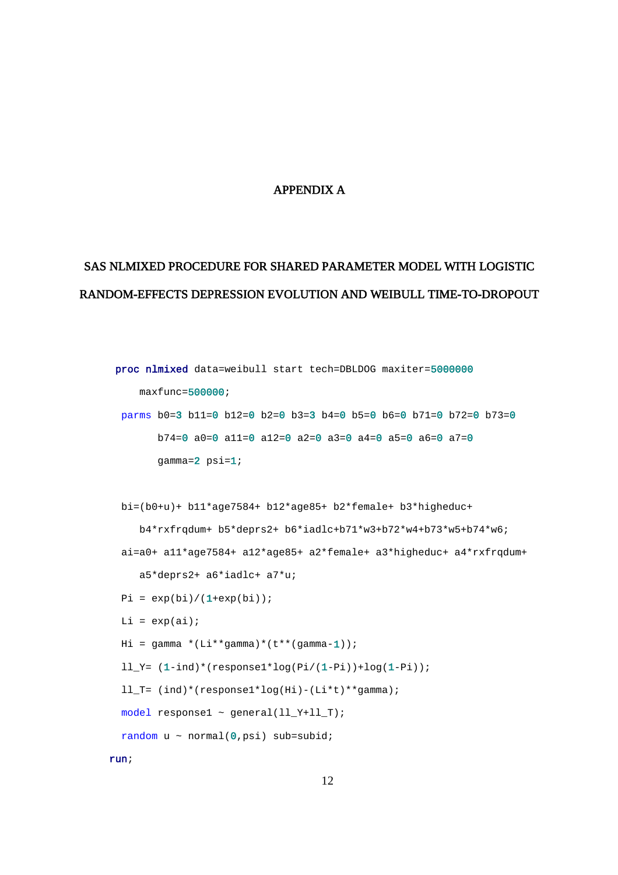#### APPENDIX A

## SAS NLMIXED PROCEDURE FOR SHARED PARAMETER MODEL WITH LOGISTIC RANDOM-EFFECTS DEPRESSION EVOLUTION AND WEIBULL TIME-TO-DROPOUT

```
proc nlmixed data=weibull start tech=DBLDOG maxiter=5000000
   maxfunc=500000;parms b0=3 b11=0 b12=0 b2=0 b3=3 b4=0 b5=0 b6=0 b71=0 b72=0 b73=0
      b74=0 a0=0 a11=0 a12=0 a2=0 a3=0 a4=0 a5=0 a6=0 a7=0
      gamma=2 psi=1;
bi=(b0+u)+ b11*age7584+ b12*age85+ b2*female+ b3*higheduc+
   b4*rxfrqdum+ b5*deprs2+ b6*iadlc+b71*w3+b72*w4+b73*w5+b74*w6;
ai=a0+ a11*age7584+ a12*age85+ a2*female+ a3*higheduc+ a4*rxfrqdum+
   a5*deprs2+ a6*iadlc+ a7*u;
Pi = exp(bi)/(1+exp(bi));
Li = exp(ai);Hi = qamma * (Li * qamma) * (t * *(qamma-1));ll Y= (1-ind)*(response1*log(Pi/(1-Pi))+log(1-Pi));ll_T= (ind)*(response1*log(Hi)-(Li*t)**gamma);
model response1 \sim general(ll_Y+ll_T);
random u \sim \text{normal}(0, \text{psi}) sub=subid;
```
run;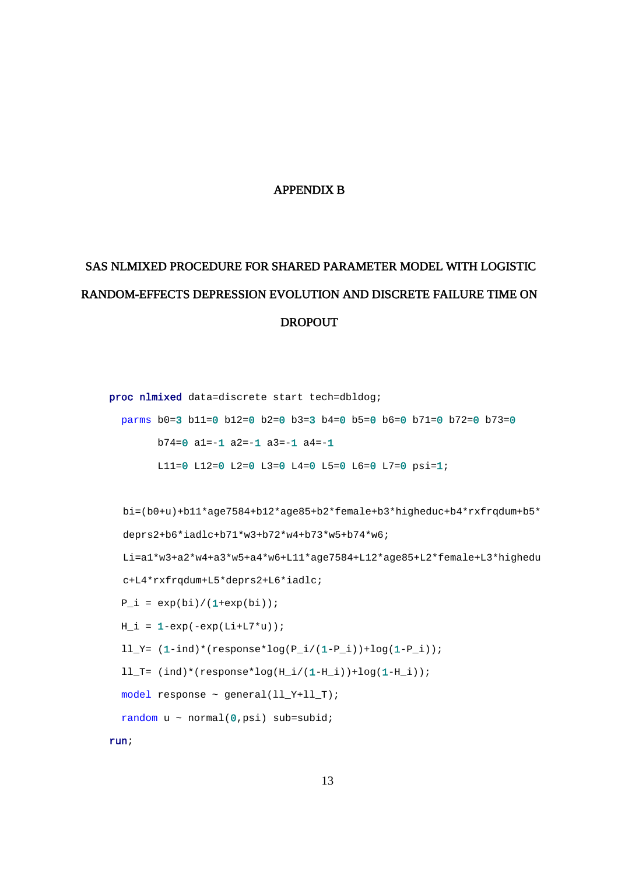#### APPENDIX B

# SAS NLMIXED PROCEDURE FOR SHARED PARAMETER MODEL WITH LOGISTIC RANDOM-EFFECTS DEPRESSION EVOLUTION AND DISCRETE FAILURE TIME ON DROPOUT

proc nlmixed data=discrete start tech=dbldog; parms b0=3 b11=0 b12=0 b2=0 b3=3 b4=0 b5=0 b6=0 b71=0 b72=0 b73=0 b74=0 a1=-1 a2=-1 a3=-1 a4=-1 L11=0 L12=0 L2=0 L3=0 L4=0 L5=0 L6=0 L7=0 psi=1; bi=(b0+u)+b11\*age7584+b12\*age85+b2\*female+b3\*higheduc+b4\*rxfrqdum+b5\* deprs2+b6\*iadlc+b71\*w3+b72\*w4+b73\*w5+b74\*w6; Li=a1\*w3+a2\*w4+a3\*w5+a4\*w6+L11\*age7584+L12\*age85+L2\*female+L3\*highedu c+L4\*rxfrqdum+L5\*deprs2+L6\*iadlc;  $P_i = exp(bi)/(1+exp(bi));$  $H_i = 1 - exp(-exp(Li + L7 * u));$  $ll_T = (1-ind)*(response*log(P_i/(1-P_i))+log(1-P_i));$ ll\_T=  $(ind)*(response*log(H_i/(1-H_i))+log(1-H_i));$ model response ~ general(ll\_Y+ll\_T); random  $u \sim \text{normal}(0, \text{psi})$  sub=subid;

run;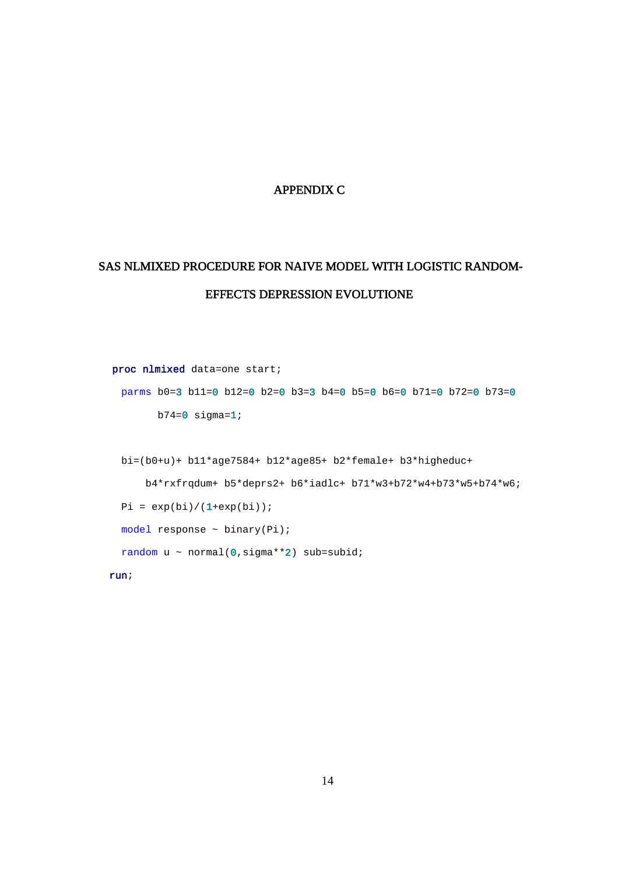#### APPENDIX C

## SAS NLMIXED PROCEDURE FOR NAIVE MODEL WITH LOGISTIC RANDOM-EFFECTS DEPRESSION EVOLUTIONE

```
proc nlmixed data=one start;
parms b0=3 b11=0 b12=0 b2=0 b3=3 b4=0 b5=0 b6=0 b71=0 b72=0 b73=0
      b74=0 sigma=1;
bi=(b0+u)+ b11*age7584+ b12*age85+ b2*female+ b3*higheduc+
    b4*rxfrqdum+ b5*deprs2+ b6*iadlc+ b71*w3+b72*w4+b73*w5+b74*w6;
Pi = exp(bi)/(1+exp(bi));
model response \sim binary(Pi);
random u \sim \text{normal}(0, \text{sigma}^{**}2) sub=subid;
```
run;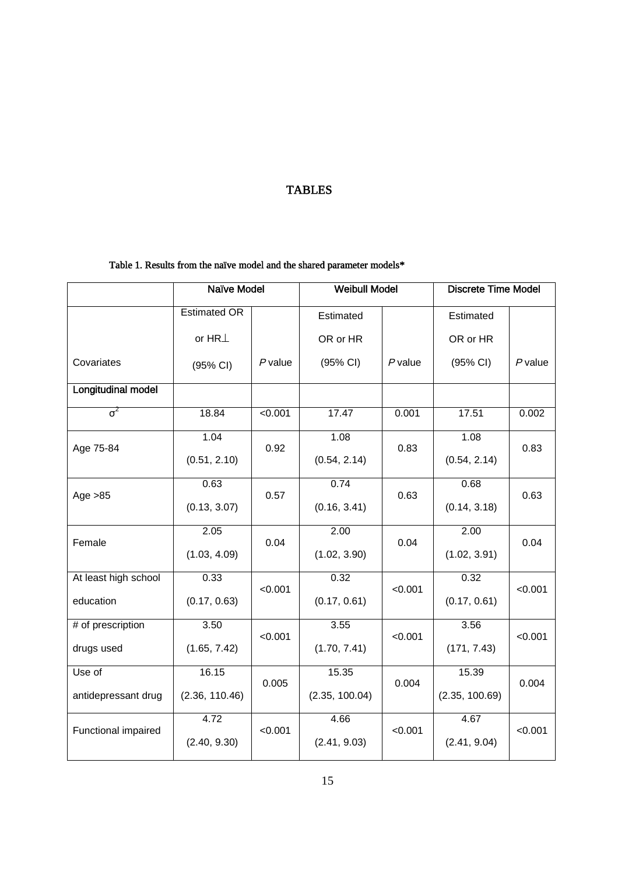## TABLES

## Table 1. Results from the naïve model and the shared parameter models\*

|                           | <b>Naïve Model</b>  |           | <b>Weibull Model</b> |           | <b>Discrete Time Model</b> |           |  |  |
|---------------------------|---------------------|-----------|----------------------|-----------|----------------------------|-----------|--|--|
|                           | <b>Estimated OR</b> |           | Estimated            |           | Estimated                  |           |  |  |
|                           | or $HR$ $\perp$     |           | OR or HR             |           | OR or HR                   |           |  |  |
| Covariates                | (95% CI)            | $P$ value | (95% CI)             | $P$ value | (95% CI)                   | $P$ value |  |  |
| <b>Longitudinal model</b> |                     |           |                      |           |                            |           |  |  |
| $\sigma^2$                | 18.84               | < 0.001   | 17.47                | 0.001     | 17.51                      | 0.002     |  |  |
| Age 75-84                 | 1.04                | 0.92      | 1.08                 | 0.83      | 1.08                       | 0.83      |  |  |
|                           | (0.51, 2.10)        |           | (0.54, 2.14)         |           | (0.54, 2.14)               |           |  |  |
| Age $>85$                 | 0.63                | 0.57      | 0.74                 | 0.63      | 0.68                       | 0.63      |  |  |
|                           | (0.13, 3.07)        |           | (0.16, 3.41)         |           | (0.14, 3.18)               |           |  |  |
| Female                    | 2.05                | 0.04      | 2.00                 | 0.04      | 2.00                       | 0.04      |  |  |
|                           | (1.03, 4.09)        |           | (1.02, 3.90)         |           | (1.02, 3.91)               |           |  |  |
| At least high school      | 0.33                | < 0.001   | 0.32                 | < 0.001   | 0.32                       | < 0.001   |  |  |
| education                 | (0.17, 0.63)        |           | (0.17, 0.61)         |           | (0.17, 0.61)               |           |  |  |
| # of prescription         | 3.50                | < 0.001   | 3.55                 | < 0.001   | 3.56                       | < 0.001   |  |  |
| drugs used                | (1.65, 7.42)        |           | (1.70, 7.41)         |           | (171, 7.43)                |           |  |  |
| Use of                    | 16.15               | 0.005     | 15.35                | 0.004     | 15.39                      | 0.004     |  |  |
| antidepressant drug       | (2.36, 110.46)      |           | (2.35, 100.04)       |           | (2.35, 100.69)             |           |  |  |
| Functional impaired       | 4.72                | < 0.001   | 4.66                 | < 0.001   | 4.67                       | < 0.001   |  |  |
|                           | (2.40, 9.30)        |           | (2.41, 9.03)         |           | (2.41, 9.04)               |           |  |  |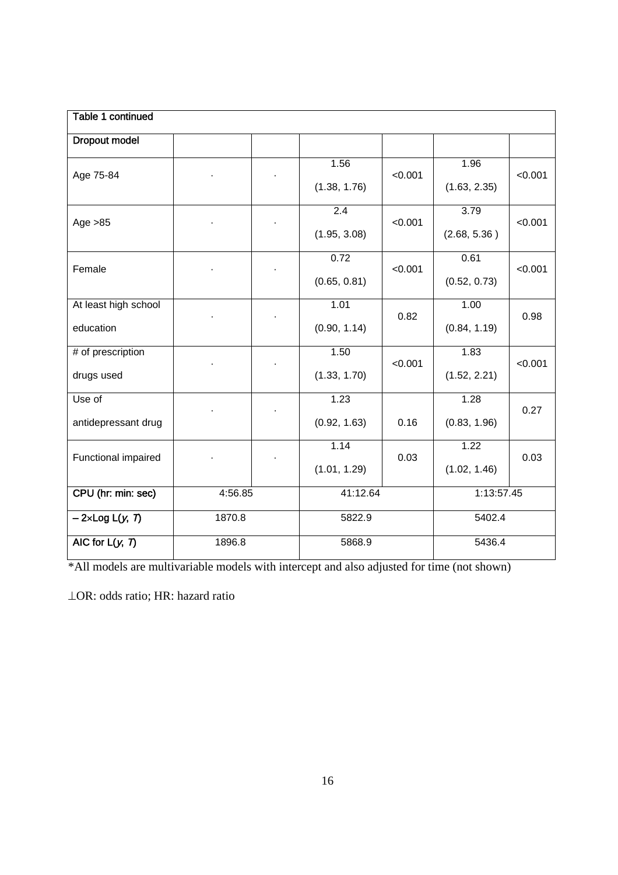| Table 1 continued      |         |  |                  |         |              |         |  |  |  |  |  |  |  |
|------------------------|---------|--|------------------|---------|--------------|---------|--|--|--|--|--|--|--|
| <b>Dropout model</b>   |         |  |                  |         |              |         |  |  |  |  |  |  |  |
| Age 75-84              |         |  | 1.56             | < 0.001 | 1.96         | < 0.001 |  |  |  |  |  |  |  |
| Age $>85$              |         |  | (1.38, 1.76)     |         | (1.63, 2.35) |         |  |  |  |  |  |  |  |
|                        |         |  | $\overline{2.4}$ | < 0.001 | 3.79         | < 0.001 |  |  |  |  |  |  |  |
|                        |         |  | (1.95, 3.08)     |         | (2.68, 5.36) |         |  |  |  |  |  |  |  |
| Female                 |         |  | 0.72             | < 0.001 | 0.61         | < 0.001 |  |  |  |  |  |  |  |
|                        |         |  | (0.65, 0.81)     |         | (0.52, 0.73) |         |  |  |  |  |  |  |  |
| At least high school   |         |  | 1.01             | 0.82    | 1.00         | 0.98    |  |  |  |  |  |  |  |
| education              |         |  | (0.90, 1.14)     |         | (0.84, 1.19) |         |  |  |  |  |  |  |  |
| # of prescription      |         |  | 1.50             | < 0.001 | 1.83         | < 0.001 |  |  |  |  |  |  |  |
| drugs used             |         |  | (1.33, 1.70)     |         | (1.52, 2.21) |         |  |  |  |  |  |  |  |
| Use of                 |         |  | 1.23             |         | 1.28         | 0.27    |  |  |  |  |  |  |  |
| antidepressant drug    |         |  | (0.92, 1.63)     | 0.16    | (0.83, 1.96) |         |  |  |  |  |  |  |  |
| Functional impaired    |         |  | 1.14             | 0.03    | 1.22         | 0.03    |  |  |  |  |  |  |  |
|                        |         |  | (1.01, 1.29)     |         | (1.02, 1.46) |         |  |  |  |  |  |  |  |
| CPU (hr: min: sec)     | 4:56.85 |  | 41:12.64         |         | 1:13:57.45   |         |  |  |  |  |  |  |  |
| $-2\times$ Log L(y, 7) | 1870.8  |  | 5822.9           |         | 5402.4       |         |  |  |  |  |  |  |  |
| AIC for $L(y, 7)$      | 1896.8  |  | 5868.9           |         | 5436.4       |         |  |  |  |  |  |  |  |

\*All models are multivariable models with intercept and also adjusted for time (not shown)

OR: odds ratio; HR: hazard ratio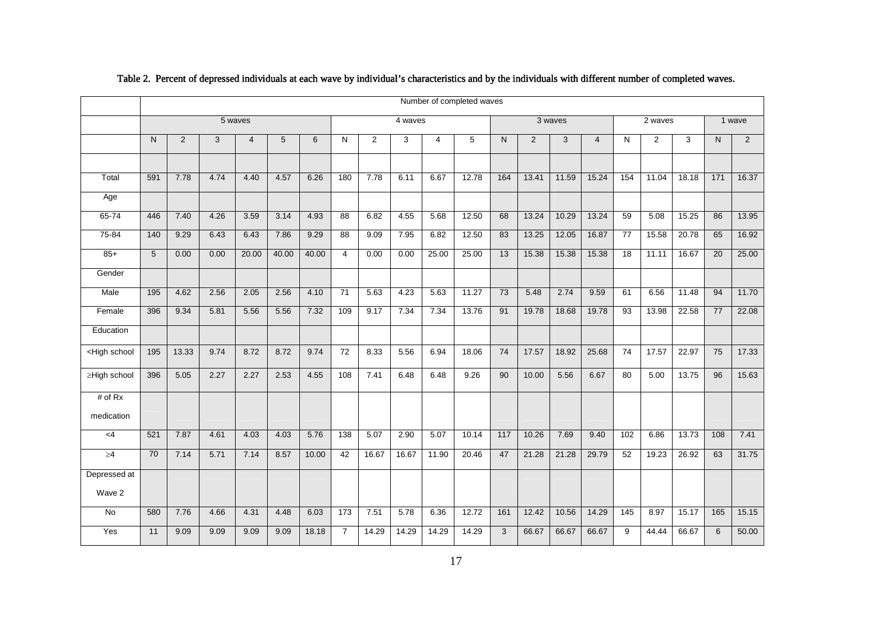|                                                                                                                                                                                                                                                                                                   |                 |       |      |                |       |       |                 |                |         |                | Number of completed waves |                 |       |         |                |                 |                |        |                 |       |
|---------------------------------------------------------------------------------------------------------------------------------------------------------------------------------------------------------------------------------------------------------------------------------------------------|-----------------|-------|------|----------------|-------|-------|-----------------|----------------|---------|----------------|---------------------------|-----------------|-------|---------|----------------|-----------------|----------------|--------|-----------------|-------|
|                                                                                                                                                                                                                                                                                                   | 5 waves         |       |      |                |       |       |                 |                | 4 waves |                |                           |                 |       | 3 waves |                | 2 waves         |                | 1 wave |                 |       |
|                                                                                                                                                                                                                                                                                                   | N               | 2     | 3    | $\overline{4}$ | 5     | 6     | N               | $\overline{2}$ | 3       | $\overline{4}$ | 5                         | $\mathsf{N}$    | 2     | 3       | $\overline{4}$ | N               | $\overline{2}$ | 3      | N               | 2     |
|                                                                                                                                                                                                                                                                                                   |                 |       |      |                |       |       |                 |                |         |                |                           |                 |       |         |                |                 |                |        |                 |       |
| Total                                                                                                                                                                                                                                                                                             | 591             | 7.78  | 4.74 | 4.40           | 4.57  | 6.26  | 180             | 7.78           | 6.11    | 6.67           | 12.78                     | 164             | 13.41 | 11.59   | 15.24          | 154             | 11.04          | 18.18  | $171$           | 16.37 |
| Age                                                                                                                                                                                                                                                                                               |                 |       |      |                |       |       |                 |                |         |                |                           |                 |       |         |                |                 |                |        |                 |       |
| $65 - 74$                                                                                                                                                                                                                                                                                         | 446             | 7.40  | 4.26 | 3.59           | 3.14  | 4.93  | 88              | 6.82           | 4.55    | 5.68           | 12.50                     | 68              | 13.24 | 10.29   | 13.24          | 59              | 5.08           | 15.25  | 86              | 13.95 |
| 75-84                                                                                                                                                                                                                                                                                             | 140             | 9.29  | 6.43 | 6.43           | 7.86  | 9.29  | $\overline{88}$ | 9.09           | 7.95    | 6.82           | 12.50                     | 83              | 13.25 | 12.05   | 16.87          | $\overline{77}$ | 15.58          | 20.78  | 65              | 16.92 |
| $85+$                                                                                                                                                                                                                                                                                             | 5               | 0.00  | 0.00 | 20.00          | 40.00 | 40.00 | $\overline{4}$  | 0.00           | 0.00    | 25.00          | 25.00                     | $\overline{13}$ | 15.38 | 15.38   | 15.38          | $\overline{18}$ | 11.11          | 16.67  | $\overline{20}$ | 25.00 |
| Gender                                                                                                                                                                                                                                                                                            |                 |       |      |                |       |       |                 |                |         |                |                           |                 |       |         |                |                 |                |        |                 |       |
| Male                                                                                                                                                                                                                                                                                              | 195             | 4.62  | 2.56 | 2.05           | 2.56  | 4.10  | $\overline{71}$ | 5.63           | 4.23    | 5.63           | 11.27                     | $\overline{73}$ | 5.48  | 2.74    | 9.59           | 61              | 6.56           | 11.48  | 94              | 11.70 |
| Female                                                                                                                                                                                                                                                                                            | 396             | 9.34  | 5.81 | 5.56           | 5.56  | 7.32  | 109             | 9.17           | 7.34    | 7.34           | 13.76                     | 91              | 19.78 | 18.68   | 19.78          | 93              | 13.98          | 22.58  | $\overline{77}$ | 22.08 |
| Education                                                                                                                                                                                                                                                                                         |                 |       |      |                |       |       |                 |                |         |                |                           |                 |       |         |                |                 |                |        |                 |       |
| <high school<="" td=""><td>195</td><td>13.33</td><td>9.74</td><td>8.72</td><td>8.72</td><td>9.74</td><td>72</td><td>8.33</td><td>5.56</td><td>6.94</td><td>18.06</td><td>74</td><td>17.57</td><td>18.92</td><td>25.68</td><td>74</td><td>17.57</td><td>22.97</td><td>75</td><td>17.33</td></high> | 195             | 13.33 | 9.74 | 8.72           | 8.72  | 9.74  | 72              | 8.33           | 5.56    | 6.94           | 18.06                     | 74              | 17.57 | 18.92   | 25.68          | 74              | 17.57          | 22.97  | 75              | 17.33 |
| ≥High school                                                                                                                                                                                                                                                                                      | 396             | 5.05  | 2.27 | 2.27           | 2.53  | 4.55  | 108             | 7.41           | 6.48    | 6.48           | 9.26                      | 90              | 10.00 | 5.56    | 6.67           | 80              | 5.00           | 13.75  | 96              | 15.63 |
| # of $Rx$                                                                                                                                                                                                                                                                                         |                 |       |      |                |       |       |                 |                |         |                |                           |                 |       |         |                |                 |                |        |                 |       |
| medication                                                                                                                                                                                                                                                                                        |                 |       |      |                |       |       |                 |                |         |                |                           |                 |       |         |                |                 |                |        |                 |       |
| $<$ 4                                                                                                                                                                                                                                                                                             | 521             | 7.87  | 4.61 | 4.03           | 4.03  | 5.76  | 138             | 5.07           | 2.90    | 5.07           | 10.14                     | 117             | 10.26 | 7.69    | 9.40           | 102             | 6.86           | 13.73  | 108             | 7.41  |
| $\geq 4$                                                                                                                                                                                                                                                                                          | $\overline{70}$ | 7.14  | 5.71 | 7.14           | 8.57  | 10.00 | 42              | 16.67          | 16.67   | 11.90          | 20.46                     | 47              | 21.28 | 21.28   | 29.79          | 52              | 19.23          | 26.92  | 63              | 31.75 |
| Depressed at                                                                                                                                                                                                                                                                                      |                 |       |      |                |       |       |                 |                |         |                |                           |                 |       |         |                |                 |                |        |                 |       |
| Wave 2                                                                                                                                                                                                                                                                                            |                 |       |      |                |       |       |                 |                |         |                |                           |                 |       |         |                |                 |                |        |                 |       |
| $\overline{N}$                                                                                                                                                                                                                                                                                    | 580             | 7.76  | 4.66 | 4.31           | 4.48  | 6.03  | 173             | 7.51           | 5.78    | 6.36           | 12.72                     | 161             | 12.42 | 10.56   | 14.29          | $\frac{145}{2}$ | 8.97           | 15.17  | 165             | 15.15 |
| Yes                                                                                                                                                                                                                                                                                               | 11              | 9.09  | 9.09 | 9.09           | 9.09  | 18.18 | $\overline{7}$  | 14.29          | 14.29   | 14.29          | 14.29                     | 3               | 66.67 | 66.67   | 66.67          | 9               | 44.44          | 66.67  | 6               | 50.00 |

#### Table 2. Percent of depressed individuals at each wave by individual's characteristics and by the individuals with different number of completed waves.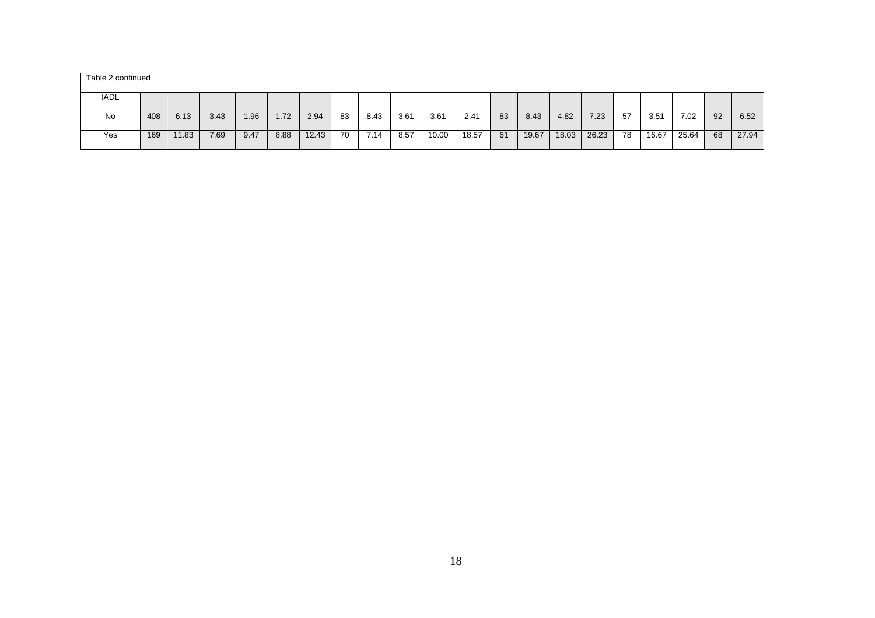| Table 2 continued |     |       |      |      |      |       |    |      |      |       |       |    |       |       |       |    |       |       |    |       |
|-------------------|-----|-------|------|------|------|-------|----|------|------|-------|-------|----|-------|-------|-------|----|-------|-------|----|-------|
| IADL              |     |       |      |      |      |       |    |      |      |       |       |    |       |       |       |    |       |       |    |       |
| No                | 408 | 6.13  | 3.43 | 1.96 | 1.72 | 2.94  | 83 | 8.43 | 3.61 | 3.61  | 2.41  | 83 | 8.43  | 4.82  | 7.23  | 57 | 3.51  | 7.02  | 92 | 6.52  |
| Yes               | 169 | 11.83 | 7.69 | 9.47 | 8.88 | 12.43 | 70 | 7.14 | 8.57 | 10.00 | 18.57 | 61 | 19.67 | 18.03 | 26.23 | 78 | 16.67 | 25.64 | 68 | 27.94 |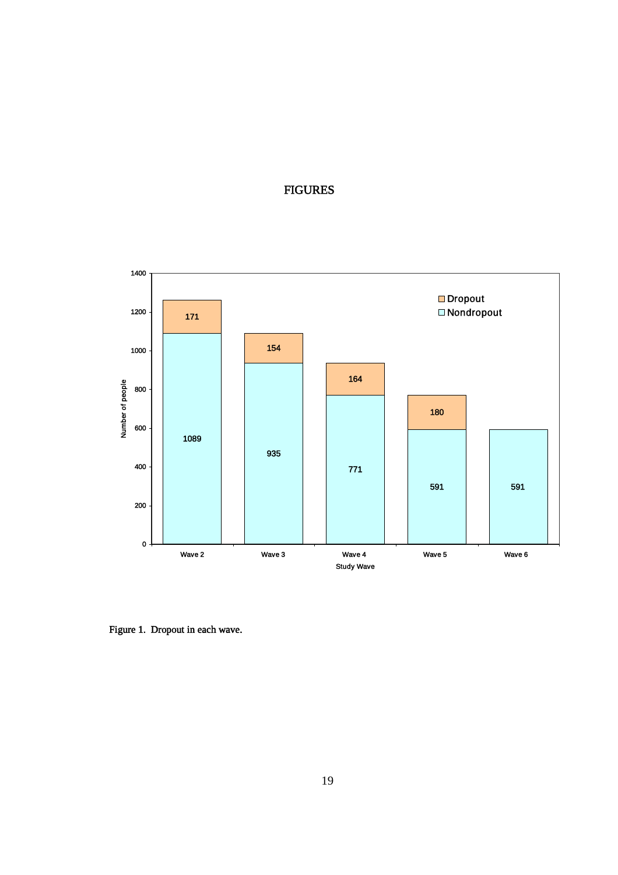## FIGURES



Figure 1. Dropout in each wave.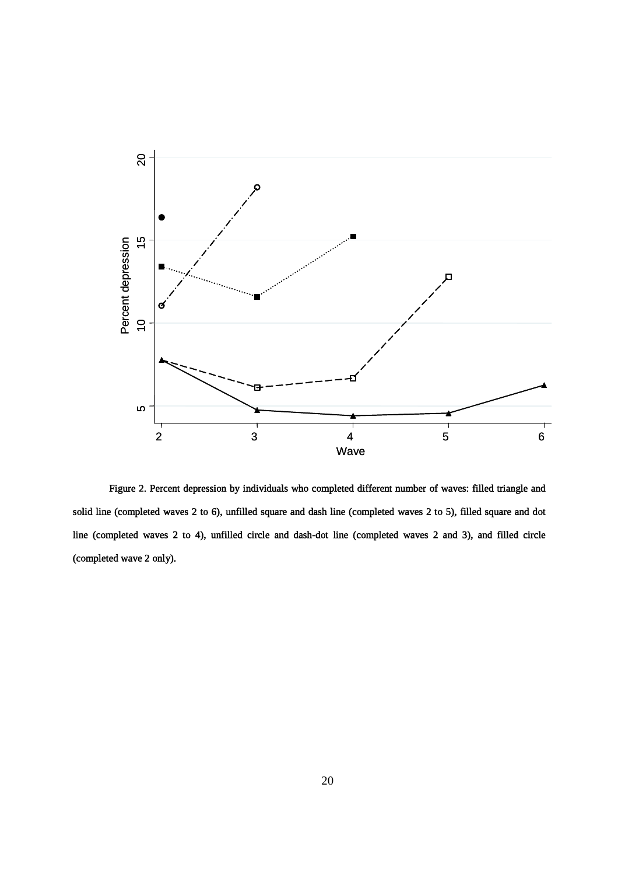

Figure 2. Percent depression by individuals who completed different number of waves: filled triangle and solid line (completed waves 2 to 6), unfilled square and dash line (completed waves 2 to 5), filled square and dot line (completed waves 2 to 4), unfilled circle and dash-dot line (completed waves 2 and 3), and filled circle (completed wave 2 only).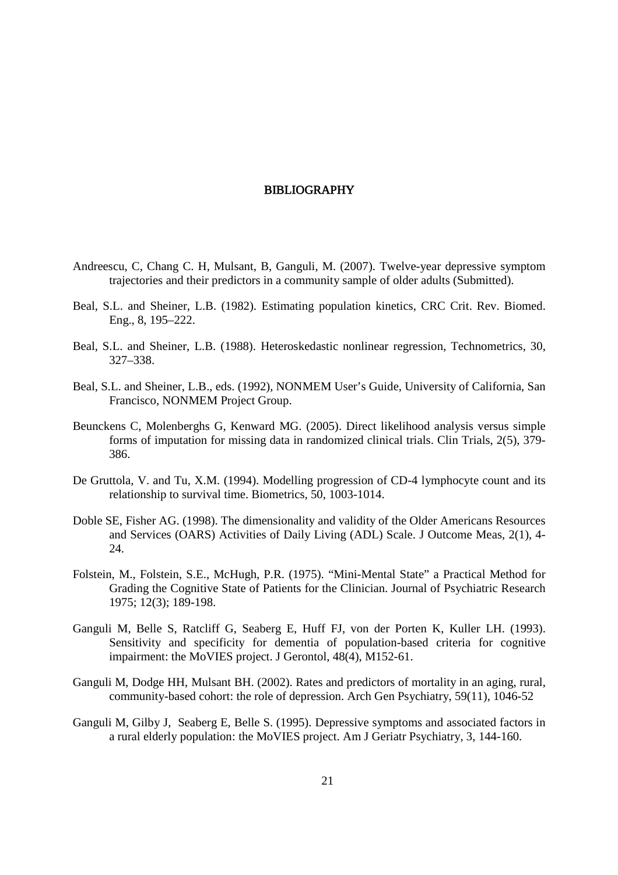#### BIBLIOGRAPHY

- Andreescu, C, Chang C. H, Mulsant, B, Ganguli, M. (2007). Twelve-year depressive symptom trajectories and their predictors in a community sample of older adults (Submitted).
- Beal, S.L. and Sheiner, L.B. (1982). Estimating population kinetics, CRC Crit. Rev. Biomed. Eng., 8, 195–222.
- Beal, S.L. and Sheiner, L.B. (1988). Heteroskedastic nonlinear regression, Technometrics, 30, 327–338.
- Beal, S.L. and Sheiner, L.B., eds. (1992), NONMEM User's Guide, University of California, San Francisco, NONMEM Project Group.
- Beunckens C, Molenberghs G, Kenward MG. (2005). Direct likelihood analysis versus simple forms of imputation for missing data in randomized clinical trials. Clin Trials, 2(5), 379- 386.
- De Gruttola, V. and Tu, X.M. (1994). Modelling progression of CD-4 lymphocyte count and its relationship to survival time. Biometrics, 50, 1003-1014.
- Doble SE, Fisher AG. (1998). The dimensionality and validity of the Older Americans Resources and Services (OARS) Activities of Daily Living (ADL) Scale. J Outcome Meas, 2(1), 4- 24.
- Folstein, M., Folstein, S.E., McHugh, P.R. (1975). "Mini-Mental State" a Practical Method for Grading the Cognitive State of Patients for the Clinician. Journal of Psychiatric Research 1975; 12(3); 189-198.
- Ganguli M, Belle S, Ratcliff G, Seaberg E, Huff FJ, von der Porten K, Kuller LH. (1993). Sensitivity and specificity for dementia of population-based criteria for cognitive impairment: the MoVIES project. J Gerontol, 48(4), M152-61.
- Ganguli M, Dodge HH, Mulsant BH. (2002). Rates and predictors of mortality in an aging, rural, community-based cohort: the role of depression. Arch Gen Psychiatry, 59(11), 1046-52
- Ganguli M, Gilby J, Seaberg E, Belle S. (1995). Depressive symptoms and associated factors in a rural elderly population: the MoVIES project. Am J Geriatr Psychiatry, 3, 144-160.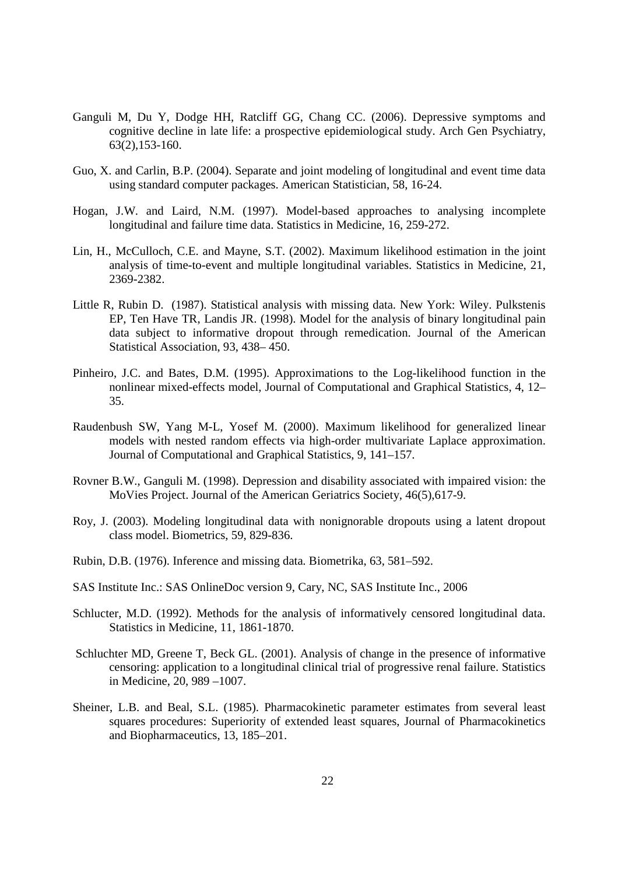- Ganguli M, Du Y, Dodge HH, Ratcliff GG, Chang CC. (2006). Depressive symptoms and cognitive decline in late life: a prospective epidemiological study. Arch Gen Psychiatry, 63(2),153-160.
- Guo, X. and Carlin, B.P. (2004). Separate and joint modeling of longitudinal and event time data using standard computer packages. American Statistician, 58, 16-24.
- Hogan, J.W. and Laird, N.M. (1997). Model-based approaches to analysing incomplete longitudinal and failure time data. Statistics in Medicine, 16, 259-272.
- Lin, H., McCulloch, C.E. and Mayne, S.T. (2002). Maximum likelihood estimation in the joint analysis of time-to-event and multiple longitudinal variables. Statistics in Medicine, 21, 2369-2382.
- Little R, Rubin D. (1987). Statistical analysis with missing data. New York: Wiley. Pulkstenis EP, Ten Have TR, Landis JR. (1998). Model for the analysis of binary longitudinal pain data subject to informative dropout through remedication. Journal of the American Statistical Association, 93, 438– 450.
- Pinheiro, J.C. and Bates, D.M. (1995). Approximations to the Log-likelihood function in the nonlinear mixed-effects model, Journal of Computational and Graphical Statistics, 4, 12– 35.
- Raudenbush SW, Yang M-L, Yosef M. (2000). Maximum likelihood for generalized linear models with nested random effects via high-order multivariate Laplace approximation. Journal of Computational and Graphical Statistics, 9, 141–157.
- Rovner B.W., Ganguli M. (1998). Depression and disability associated with impaired vision: the MoVies Project. Journal of the American Geriatrics Society, 46(5),617-9.
- Roy, J. (2003). Modeling longitudinal data with nonignorable dropouts using a latent dropout class model. Biometrics, 59, 829-836.
- Rubin, D.B. (1976). Inference and missing data. Biometrika, 63, 581–592.
- SAS Institute Inc.: SAS OnlineDoc version 9, Cary, NC, SAS Institute Inc., 2006
- Schlucter, M.D. (1992). Methods for the analysis of informatively censored longitudinal data. Statistics in Medicine, 11, 1861-1870.
- Schluchter MD, Greene T, Beck GL. (2001). Analysis of change in the presence of informative censoring: application to a longitudinal clinical trial of progressive renal failure. Statistics in Medicine, 20, 989 –1007.
- Sheiner, L.B. and Beal, S.L. (1985). Pharmacokinetic parameter estimates from several least squares procedures: Superiority of extended least squares, Journal of Pharmacokinetics and Biopharmaceutics, 13, 185–201.